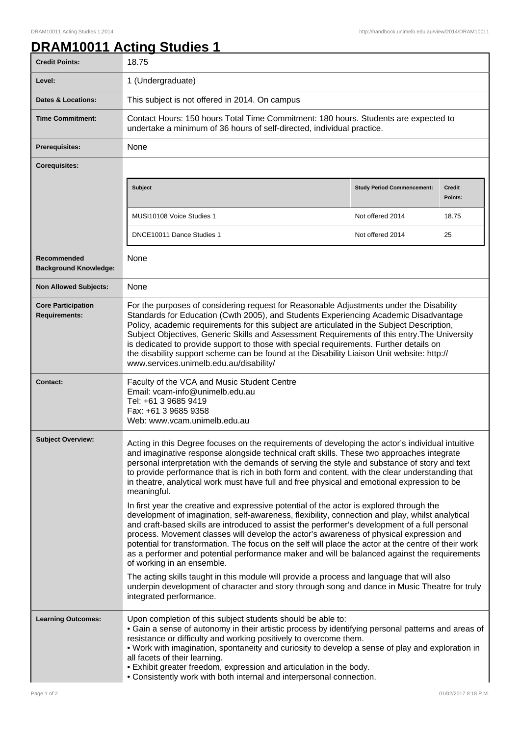## **DRAM10011 Acting Studies 1**

| <b>Credit Points:</b>                             | 18.75                                                                                                                                                                                                                                                                                                                                                                                                                                                                                                                                                                                                                                                                                                                                                                                                                                                                                                                                                                                                                                                                                                                                                                                                                                                                                                                                                                       |                                   |                          |
|---------------------------------------------------|-----------------------------------------------------------------------------------------------------------------------------------------------------------------------------------------------------------------------------------------------------------------------------------------------------------------------------------------------------------------------------------------------------------------------------------------------------------------------------------------------------------------------------------------------------------------------------------------------------------------------------------------------------------------------------------------------------------------------------------------------------------------------------------------------------------------------------------------------------------------------------------------------------------------------------------------------------------------------------------------------------------------------------------------------------------------------------------------------------------------------------------------------------------------------------------------------------------------------------------------------------------------------------------------------------------------------------------------------------------------------------|-----------------------------------|--------------------------|
| Level:                                            | 1 (Undergraduate)                                                                                                                                                                                                                                                                                                                                                                                                                                                                                                                                                                                                                                                                                                                                                                                                                                                                                                                                                                                                                                                                                                                                                                                                                                                                                                                                                           |                                   |                          |
| <b>Dates &amp; Locations:</b>                     | This subject is not offered in 2014. On campus                                                                                                                                                                                                                                                                                                                                                                                                                                                                                                                                                                                                                                                                                                                                                                                                                                                                                                                                                                                                                                                                                                                                                                                                                                                                                                                              |                                   |                          |
| <b>Time Commitment:</b>                           | Contact Hours: 150 hours Total Time Commitment: 180 hours. Students are expected to<br>undertake a minimum of 36 hours of self-directed, individual practice.                                                                                                                                                                                                                                                                                                                                                                                                                                                                                                                                                                                                                                                                                                                                                                                                                                                                                                                                                                                                                                                                                                                                                                                                               |                                   |                          |
| <b>Prerequisites:</b>                             | None                                                                                                                                                                                                                                                                                                                                                                                                                                                                                                                                                                                                                                                                                                                                                                                                                                                                                                                                                                                                                                                                                                                                                                                                                                                                                                                                                                        |                                   |                          |
| <b>Corequisites:</b>                              |                                                                                                                                                                                                                                                                                                                                                                                                                                                                                                                                                                                                                                                                                                                                                                                                                                                                                                                                                                                                                                                                                                                                                                                                                                                                                                                                                                             |                                   |                          |
|                                                   | <b>Subject</b>                                                                                                                                                                                                                                                                                                                                                                                                                                                                                                                                                                                                                                                                                                                                                                                                                                                                                                                                                                                                                                                                                                                                                                                                                                                                                                                                                              | <b>Study Period Commencement:</b> | <b>Credit</b><br>Points: |
|                                                   | MUSI10108 Voice Studies 1                                                                                                                                                                                                                                                                                                                                                                                                                                                                                                                                                                                                                                                                                                                                                                                                                                                                                                                                                                                                                                                                                                                                                                                                                                                                                                                                                   | Not offered 2014                  | 18.75                    |
|                                                   | DNCE10011 Dance Studies 1                                                                                                                                                                                                                                                                                                                                                                                                                                                                                                                                                                                                                                                                                                                                                                                                                                                                                                                                                                                                                                                                                                                                                                                                                                                                                                                                                   | Not offered 2014                  | 25                       |
| Recommended<br><b>Background Knowledge:</b>       | None                                                                                                                                                                                                                                                                                                                                                                                                                                                                                                                                                                                                                                                                                                                                                                                                                                                                                                                                                                                                                                                                                                                                                                                                                                                                                                                                                                        |                                   |                          |
| <b>Non Allowed Subjects:</b>                      | None                                                                                                                                                                                                                                                                                                                                                                                                                                                                                                                                                                                                                                                                                                                                                                                                                                                                                                                                                                                                                                                                                                                                                                                                                                                                                                                                                                        |                                   |                          |
| <b>Core Participation</b><br><b>Requirements:</b> | For the purposes of considering request for Reasonable Adjustments under the Disability<br>Standards for Education (Cwth 2005), and Students Experiencing Academic Disadvantage<br>Policy, academic requirements for this subject are articulated in the Subject Description,<br>Subject Objectives, Generic Skills and Assessment Requirements of this entry. The University<br>is dedicated to provide support to those with special requirements. Further details on<br>the disability support scheme can be found at the Disability Liaison Unit website: http://<br>www.services.unimelb.edu.au/disability/                                                                                                                                                                                                                                                                                                                                                                                                                                                                                                                                                                                                                                                                                                                                                            |                                   |                          |
| <b>Contact:</b>                                   | Faculty of the VCA and Music Student Centre<br>Email: vcam-info@unimelb.edu.au<br>Tel: +61 3 9685 9419<br>Fax: +61 3 9685 9358<br>Web: www.vcam.unimelb.edu.au                                                                                                                                                                                                                                                                                                                                                                                                                                                                                                                                                                                                                                                                                                                                                                                                                                                                                                                                                                                                                                                                                                                                                                                                              |                                   |                          |
| <b>Subject Overview:</b>                          | Acting in this Degree focuses on the requirements of developing the actor's individual intuitive<br>and imaginative response alongside technical craft skills. These two approaches integrate<br>personal interpretation with the demands of serving the style and substance of story and text<br>to provide performance that is rich in both form and content, with the clear understanding that<br>in theatre, analytical work must have full and free physical and emotional expression to be<br>meaningful.<br>In first year the creative and expressive potential of the actor is explored through the<br>development of imagination, self-awareness, flexibility, connection and play, whilst analytical<br>and craft-based skills are introduced to assist the performer's development of a full personal<br>process. Movement classes will develop the actor's awareness of physical expression and<br>potential for transformation. The focus on the self will place the actor at the centre of their work<br>as a performer and potential performance maker and will be balanced against the requirements<br>of working in an ensemble.<br>The acting skills taught in this module will provide a process and language that will also<br>underpin development of character and story through song and dance in Music Theatre for truly<br>integrated performance. |                                   |                          |
| <b>Learning Outcomes:</b>                         | Upon completion of this subject students should be able to:<br>. Gain a sense of autonomy in their artistic process by identifying personal patterns and areas of<br>resistance or difficulty and working positively to overcome them.<br>. Work with imagination, spontaneity and curiosity to develop a sense of play and exploration in<br>all facets of their learning.<br>. Exhibit greater freedom, expression and articulation in the body.<br>. Consistently work with both internal and interpersonal connection.                                                                                                                                                                                                                                                                                                                                                                                                                                                                                                                                                                                                                                                                                                                                                                                                                                                  |                                   |                          |